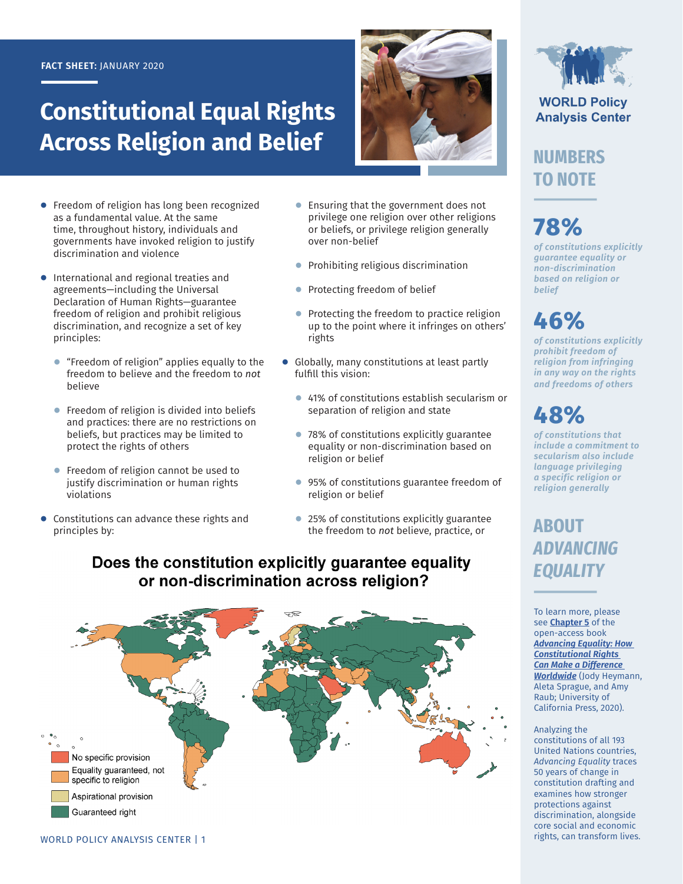### **FACT SHEET:** JANUARY 2020

# **Constitutional Equal Rights Across Religion and Belief**



- **●** Freedom of religion has long been recognized as a fundamental value. At the same time, throughout history, individuals and governments have invoked religion to justify discrimination and violence
- **●** International and regional treaties and agreements—including the Universal Declaration of Human Rights—guarantee freedom of religion and prohibit religious discrimination, and recognize a set of key principles:
	- **●** "Freedom of religion" applies equally to the freedom to believe and the freedom to *not* believe
	- **●** Freedom of religion is divided into beliefs and practices: there are no restrictions on beliefs, but practices may be limited to protect the rights of others
	- **●** Freedom of religion cannot be used to justify discrimination or human rights violations
- **●** Constitutions can advance these rights and principles by:
- **●** Ensuring that the government does not privilege one religion over other religions or beliefs, or privilege religion generally over non-belief
- **●** Prohibiting religious discrimination
- **●** Protecting freedom of belief
- Protecting the freedom to practice religion up to the point where it infringes on others' rights
- **●** Globally, many constitutions at least partly fulfill this vision:
	- **●** 41% of constitutions establish secularism or separation of religion and state
	- **●** 78% of constitutions explicitly guarantee equality or non-discrimination based on religion or belief
	- 95% of constitutions guarantee freedom of religion or belief
	- **●** 25% of constitutions explicitly guarantee the freedom to *not* believe, practice, or

## Does the constitution explicitly guarantee equality or non-discrimination across religion?





**WORLD Policy Analysis Center** 

**NUMBERS TO NOTE**

# **78%**

*of constitutions explicitly guarantee equality or non-discrimination based on religion or belief*

**46%**

*of constitutions explicitly prohibit freedom of religion from infringing in any way on the rights and freedoms of others*

**48%**

*of constitutions that include a commitment to secularism also include language privileging a specific religion or religion generally*

# **ABOUT**  *ADVANCING EQUALITY*

To learn more, please see **[Chapter 5](https://doi.org/10.1525/luminos.81.f)** of the open-access book *[Advancing Equality: How](https://doi.org/10.1525/luminos.81)  [Constitutional Rights](https://doi.org/10.1525/luminos.81)  [Can Make a Difference](https://doi.org/10.1525/luminos.81)  [Worldwide](https://doi.org/10.1525/luminos.81)* (Jody Heymann, Aleta Sprague, and Amy Raub; University of California Press, 2020).

#### Analyzing the

constitutions of all 193 United Nations countries, *Advancing Equality* traces 50 years of change in constitution drafting and examines how stronger protections against discrimination, alongside core social and economic rights, can transform lives.